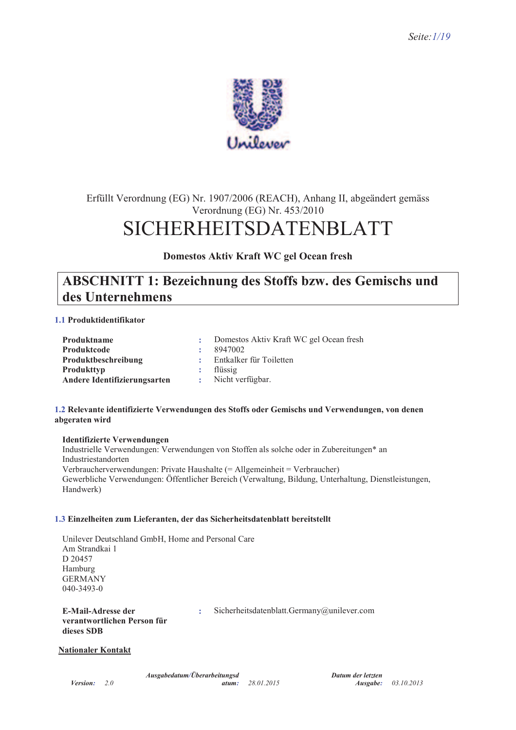

# Erfüllt Verordnung (EG) Nr. 1907/2006 (REACH), Anhang II, abgeändert gemäss Verordnung (EG) Nr. 453/2010 **SICHERHEITSDATENBLATT**

Domestos Aktiv Kraft WC gel Ocean fresh

# **ABSCHNITT 1: Bezeichnung des Stoffs bzw. des Gemischs und** des Unternehmens

## 1.1 Produktidentifikator

| Produktname                  | Domestos Aktiv Kraft WC gel Ocean fresh |
|------------------------------|-----------------------------------------|
| Produktcode                  | 8947002                                 |
| Produktbeschreibung          | Entkalker für Toiletten                 |
| <b>Produkttyp</b>            | flüssig                                 |
| Andere Identifizierungsarten | Nicht verfügbar.                        |

### 1.2 Relevante identifizierte Verwendungen des Stoffs oder Gemischs und Verwendungen, von denen abgeraten wird

### **Identifizierte Verwendungen**

Industrielle Verwendungen: Verwendungen von Stoffen als solche oder in Zubereitungen\* an Industriestandorten Verbraucherverwendungen: Private Haushalte (= Allgemeinheit = Verbraucher) Gewerbliche Verwendungen: Öffentlicher Bereich (Verwaltung, Bildung, Unterhaltung, Dienstleistungen, Handwerk)

#### 1.3 Einzelheiten zum Lieferanten, der das Sicherheitsdatenblatt bereitstellt

Unilever Deutschland GmbH, Home and Personal Care Am Strandkai 1 D 20457 Hamburg **GERMANY**  $040 - 3493 - 0$ 

**E-Mail-Adresse der** verantwortlichen Person für dieses SDB

Sicherheitsdatenblatt.Germany@unilever.com

#### **Nationaler Kontakt**

 $\ddot{\phantom{a}}$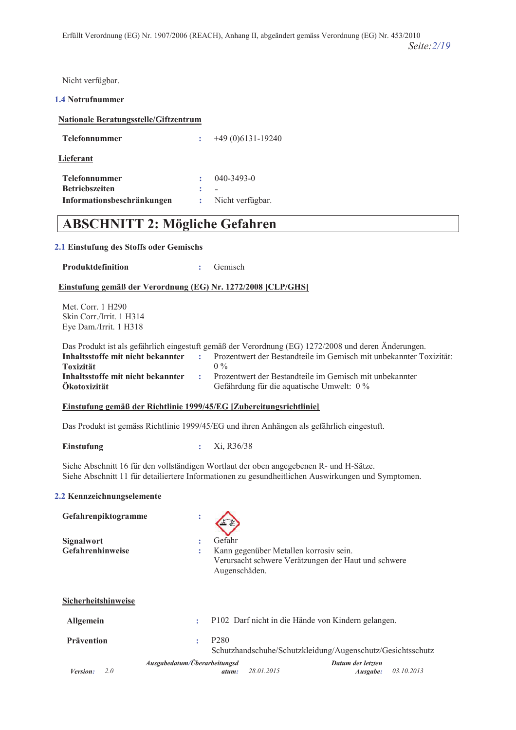Nicht verfügbar.

#### 1.4 Notrufnummer

# **Nationale Beratungsstelle/Giftzentrum**

| <b>Telefonnummer</b>       | $+49(0)6131-19240$ |
|----------------------------|--------------------|
| Lieferant                  |                    |
| <b>Telefonnummer</b>       | $040 - 3493 - 0$   |
| <b>Betriebszeiten</b>      |                    |
| Informationsbeschränkungen | Nicht verfügbar.   |

# **ABSCHNITT 2: Mögliche Gefahren**

### **2.1 Einstufung des Stoffs oder Gemischs**

| <b>Produktdefinition</b> |  | Gemisch |
|--------------------------|--|---------|
|--------------------------|--|---------|

### Einstufung gemäß der Verordnung (EG) Nr. 1272/2008 [CLP/GHS]

Met. Corr. 1 H290 Skin Corr./Irrit. 1 H314 Eye Dam./Irrit. 1 H318

| Das Produkt ist als gefährlich eingestuft gemäß der Verordnung (EG) 1272/2008 und deren Änderungen. |    |                                                                    |  |
|-----------------------------------------------------------------------------------------------------|----|--------------------------------------------------------------------|--|
| Inhaltsstoffe mit nicht bekannter                                                                   |    | Prozentwert der Bestandteile im Gemisch mit unbekannter Toxizität: |  |
| <b>Toxizität</b>                                                                                    |    | $0\%$                                                              |  |
| Inhaltsstoffe mit nicht bekannter                                                                   | ж. | Prozentwert der Bestandteile im Gemisch mit unbekannter            |  |
| Ökotoxizität                                                                                        |    | Gefährdung für die aquatische Umwelt: $0\%$                        |  |

#### **Einstufung gemäß der Richtlinie 1999/45/EG [Zubereitungsrichtlinie]**

Das Produkt ist gemäss Richtlinie 1999/45/EG und ihren Anhängen als gefährlich eingestuft.

**5:?@A2A:3** 3@ -

Siehe Abschnitt 16 für den vollständigen Wortlaut der oben angegebenen R- und H-Sätze. Siehe Abschnitt 11 für detailiertere Informationen zu gesundheitlichen Auswirkungen und Symptomen.

#### 2.2 Kennzeichnungselemente

| Gefahrenpiktogramme                   | $\ddot{\phantom{a}}$                  |                                                                                               |
|---------------------------------------|---------------------------------------|-----------------------------------------------------------------------------------------------|
| <b>Signalwort</b><br>Gefahrenhinweise | Gefahr<br>٠<br>٠<br>Augenschäden.     | Kann gegenüber Metallen korrosiv sein.<br>Verursacht schwere Verätzungen der Haut und schwere |
| Sicherheitshinweise                   |                                       |                                                                                               |
| <b>Allgemein</b>                      | ÷                                     | P102 Darf nicht in die Hände von Kindern gelangen.                                            |
| <b>Prävention</b>                     | P <sub>280</sub><br>÷                 | Schutzhandschuhe/Schutzkleidung/Augenschutz/Gesichtsschutz                                    |
| Version:<br>2.0                       | Ausgabedatum/Überarbeitungsd<br>atum: | Datum der letzten<br>28.01.2015<br>03.10.2013<br>Ausgabe:                                     |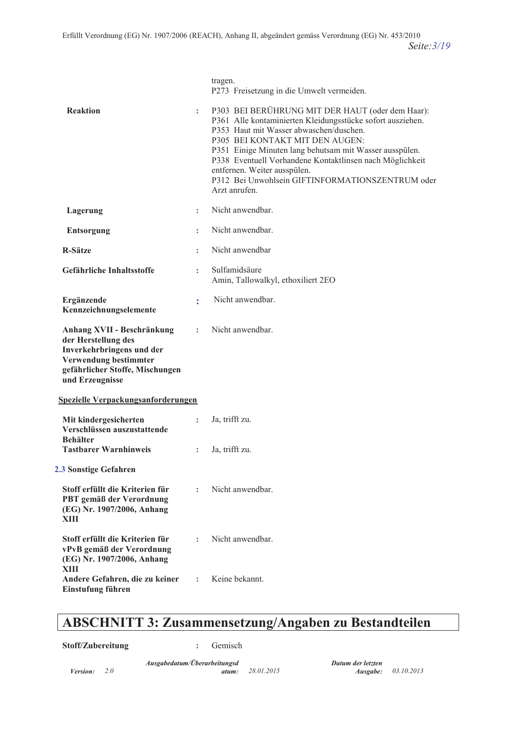|                                                                                                                                                               |    | tragen.<br>P273 Freisetzung in die Umwelt vermeiden.                                                                                                                                                                                                                                                                                                                                                                    |
|---------------------------------------------------------------------------------------------------------------------------------------------------------------|----|-------------------------------------------------------------------------------------------------------------------------------------------------------------------------------------------------------------------------------------------------------------------------------------------------------------------------------------------------------------------------------------------------------------------------|
| <b>Reaktion</b>                                                                                                                                               | ÷. | P303 BEI BERÜHRUNG MIT DER HAUT (oder dem Haar):<br>P361 Alle kontaminierten Kleidungsstücke sofort ausziehen.<br>P353 Haut mit Wasser abwaschen/duschen.<br>P305 BEI KONTAKT MIT DEN AUGEN:<br>P351 Einige Minuten lang behutsam mit Wasser ausspülen.<br>P338 Eventuell Vorhandene Kontaktlinsen nach Möglichkeit<br>entfernen. Weiter ausspülen.<br>P312 Bei Unwohlsein GIFTINFORMATIONSZENTRUM oder<br>Arzt anrufen |
| Lagerung                                                                                                                                                      | ÷  | Nicht anwendbar.                                                                                                                                                                                                                                                                                                                                                                                                        |
| <b>Entsorgung</b>                                                                                                                                             | ÷  | Nicht anwendbar.                                                                                                                                                                                                                                                                                                                                                                                                        |
| <b>R-Sätze</b>                                                                                                                                                | ÷  | Nicht anwendbar                                                                                                                                                                                                                                                                                                                                                                                                         |
| Gefährliche Inhaltsstoffe                                                                                                                                     | t  | Sulfamidsäure<br>Amin, Tallowalkyl, ethoxiliert 2EO                                                                                                                                                                                                                                                                                                                                                                     |
| Ergänzende<br>Kennzeichnungselemente                                                                                                                          | t  | Nicht anwendbar.                                                                                                                                                                                                                                                                                                                                                                                                        |
| Anhang XVII - Beschränkung<br>der Herstellung des<br>Inverkehrbringens und der<br>Verwendung bestimmter<br>gefährlicher Stoffe, Mischungen<br>und Erzeugnisse | ÷  | Nicht anwendbar.                                                                                                                                                                                                                                                                                                                                                                                                        |
| Spezielle Verpackungsanforderungen                                                                                                                            |    |                                                                                                                                                                                                                                                                                                                                                                                                                         |
| Mit kindergesicherten<br>Verschlüssen auszustattende<br><b>Behälter</b>                                                                                       | ÷  | Ja, trifft zu.                                                                                                                                                                                                                                                                                                                                                                                                          |
| <b>Tastbarer Warnhinweis</b>                                                                                                                                  | ÷  | Ja, trifft zu.                                                                                                                                                                                                                                                                                                                                                                                                          |
| 2.3 Sonstige Gefahren                                                                                                                                         |    |                                                                                                                                                                                                                                                                                                                                                                                                                         |
| Stoff erfüllt die Kriterien für<br>PBT gemäß der Verordnung<br>(EG) Nr. 1907/2006, Anhang<br>XIII                                                             | ÷  | Nicht anwendbar.                                                                                                                                                                                                                                                                                                                                                                                                        |
| Stoff erfüllt die Kriterien für<br>vPvB gemäß der Verordnung<br>(EG) Nr. 1907/2006, Anhang<br>XIII                                                            | ÷  | Nicht anwendbar.                                                                                                                                                                                                                                                                                                                                                                                                        |
| Andere Gefahren, die zu keiner<br>Einstufung führen                                                                                                           | ÷  | Keine bekannt.                                                                                                                                                                                                                                                                                                                                                                                                          |

# **ABSCHNITT 3: Zusammensetzung/Angaben zu Bestandteilen**

**\$toff/Zubereitung : Gemisch**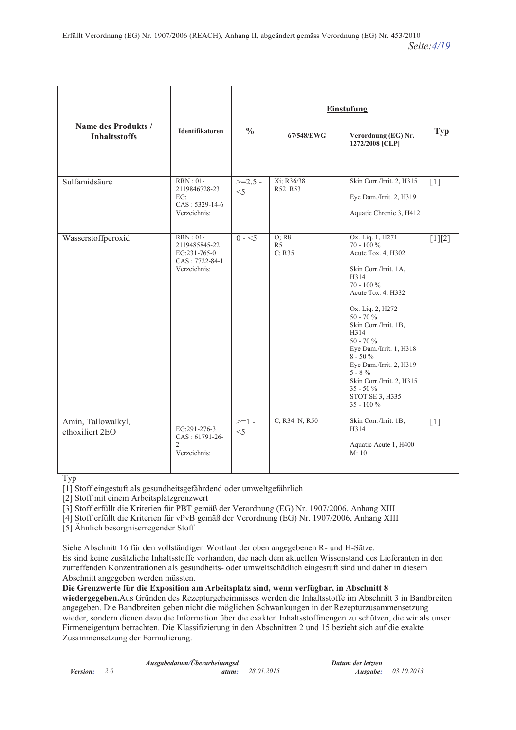| Name des Produkts /                   |                                                                                     |                    | <b>Einstufung</b>                 |                                                                                                                                                                                                                                                                                                                                                                                           |            |
|---------------------------------------|-------------------------------------------------------------------------------------|--------------------|-----------------------------------|-------------------------------------------------------------------------------------------------------------------------------------------------------------------------------------------------------------------------------------------------------------------------------------------------------------------------------------------------------------------------------------------|------------|
| <b>Inhaltsstoffs</b>                  | <b>Identifikatoren</b>                                                              | $\frac{0}{0}$      | 67/548/EWG                        | Verordnung (EG) Nr.<br>1272/2008 [CLP]                                                                                                                                                                                                                                                                                                                                                    | <b>Typ</b> |
| Sulfamidsäure                         | <b>RRN</b> : 01-<br>2119846728-23<br>EG:<br>CAS: 5329-14-6<br>Verzeichnis:          | $>=2.5 -$<br>$<$ 5 | Xi; R36/38<br>R52 R53             | Skin Corr./Irrit. 2, H315<br>Eye Dam./Irrit. 2, H319<br>Aquatic Chronic 3, H412                                                                                                                                                                                                                                                                                                           | $[1]$      |
| Wasserstoffperoxid                    | <b>RRN</b> : 01-<br>2119485845-22<br>EG:231-765-0<br>CAS: 7722-84-1<br>Verzeichnis: | $0 - 5$            | O: R8<br>R <sub>5</sub><br>C; R35 | Ox. Liq. 1, H271<br>70 - 100 $\%$<br>Acute Tox. 4, H302<br>Skin Corr./Irrit. 1A,<br>H314<br>$70 - 100 \%$<br>Acute Tox. 4, H332<br>Ox. Liq. 2, H272<br>$50 - 70 \%$<br>Skin Corr./Irrit. 1B,<br>H314<br>$50 - 70%$<br>Eye Dam./Irrit. 1, H318<br>$8 - 50\%$<br>Eye Dam./Irrit. 2, H319<br>$5 - 8 \%$<br>Skin Corr./Irrit. 2, H315<br>$35 - 50 \%$<br><b>STOT SE 3, H335</b><br>35 - 100 % | $[1][2]$   |
| Amin, Tallowalkyl,<br>ethoxiliert 2EO | EG:291-276-3<br>CAS: 61791-26-<br>$\overline{2}$<br>Verzeichnis:                    | $>=1-$<br>$<$ 5    | C; R34 N; R50                     | Skin Corr./Irrit. 1B,<br>H314<br>Aquatic Acute 1, H400<br>M:10                                                                                                                                                                                                                                                                                                                            | $[1]$      |

Typ

[1] Stoff eingestuft als gesundheitsgefährdend oder umweltgefährlich

[2] Stoff mit einem Arbeitsplatzgrenzwert

[3] Stoff erfüllt die Kriterien für PBT gemäß der Verordnung (EG) Nr. 1907/2006, Anhang XIII

[4] Stoff erfüllt die Kriterien für vPvB gemäß der Verordnung (EG) Nr. 1907/2006. Anhang XIII

[5] Ähnlich besorgniserregender Stoff

Siehe Abschnitt 16 für den vollständigen Wortlaut der oben angegebenen R- und H-Sätze.

Es sind keine zusätzliche Inhaltsstoffe vorhanden, die nach dem aktuellen Wissenstand des Lieferanten in den zutreffenden Konzentrationen als gesundheits- oder umweltschädlich eingestuft sind und daher in diesem Abschnitt angegeben werden müssten.

Die Grenzwerte für die Exposition am Arbeitsplatz sind, wenn verfügbar, in Abschnitt 8

wiedergegeben. Aus Gründen des Rezepturgeheimnisses werden die Inhaltsstoffe im Abschnitt 3 in Bandbreiten angegeben. Die Bandbreiten geben nicht die möglichen Schwankungen in der Rezepturzusammensetzung wieder, sondern dienen dazu die Information über die exakten Inhaltsstoffmengen zu schützen, die wir als unser Firmeneigentum betrachten. Die Klassifizierung in den Abschnitten 2 und 15 bezieht sich auf die exakte Zusammensetzung der Formulierung.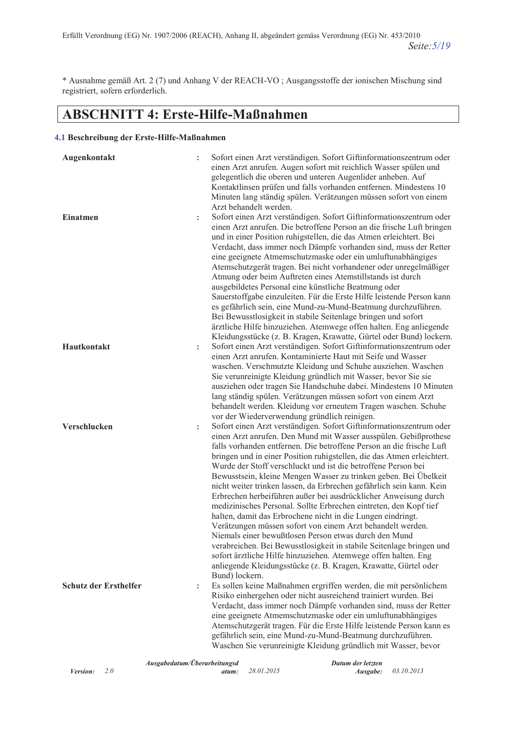\* Ausnahme gemäß Art. 2 (7) und Anhang V der REACH-VO; Ausgangsstoffe der ionischen Mischung sind registriert, sofern erforderlich.

# **ABSCHNITT 4: Erste-Hilfe-Maßnahmen**

## 4.1 Beschreibung der Erste-Hilfe-Maßnahmen

| Augenkontakt                 |   | Sofort einen Arzt verständigen. Sofort Giftinformationszentrum oder<br>einen Arzt anrufen. Augen sofort mit reichlich Wasser spülen und<br>gelegentlich die oberen und unteren Augenlider anheben. Auf<br>Kontaktlinsen prüfen und falls vorhanden entfernen. Mindestens 10<br>Minuten lang ständig spülen. Verätzungen müssen sofort von einem<br>Arzt behandelt werden.                                                                                                                                                                                                                                                                                                                                                                                                                                                                                                                                                                                                                                                                                           |
|------------------------------|---|---------------------------------------------------------------------------------------------------------------------------------------------------------------------------------------------------------------------------------------------------------------------------------------------------------------------------------------------------------------------------------------------------------------------------------------------------------------------------------------------------------------------------------------------------------------------------------------------------------------------------------------------------------------------------------------------------------------------------------------------------------------------------------------------------------------------------------------------------------------------------------------------------------------------------------------------------------------------------------------------------------------------------------------------------------------------|
| <b>Einatmen</b>              | ÷ | Sofort einen Arzt verständigen. Sofort Giftinformationszentrum oder<br>einen Arzt anrufen. Die betroffene Person an die frische Luft bringen<br>und in einer Position ruhigstellen, die das Atmen erleichtert. Bei<br>Verdacht, dass immer noch Dämpfe vorhanden sind, muss der Retter<br>eine geeignete Atmemschutzmaske oder ein umluftunabhängiges<br>Atemschutzgerät tragen. Bei nicht vorhandener oder unregelmäßiger<br>Atmung oder beim Auftreten eines Atemstillstands ist durch<br>ausgebildetes Personal eine künstliche Beatmung oder<br>Sauerstoffgabe einzuleiten. Für die Erste Hilfe leistende Person kann<br>es gefährlich sein, eine Mund-zu-Mund-Beatmung durchzuführen.<br>Bei Bewusstlosigkeit in stabile Seitenlage bringen und sofort<br>ärztliche Hilfe hinzuziehen. Atemwege offen halten. Eng anliegende<br>Kleidungsstücke (z. B. Kragen, Krawatte, Gürtel oder Bund) lockern.                                                                                                                                                            |
| Hautkontakt                  | ÷ | Sofort einen Arzt verständigen. Sofort Giftinformationszentrum oder<br>einen Arzt anrufen. Kontaminierte Haut mit Seife und Wasser<br>waschen. Verschmutzte Kleidung und Schuhe ausziehen. Waschen<br>Sie verunreinigte Kleidung gründlich mit Wasser, bevor Sie sie<br>ausziehen oder tragen Sie Handschuhe dabei. Mindestens 10 Minuten<br>lang ständig spülen. Verätzungen müssen sofort von einem Arzt<br>behandelt werden. Kleidung vor erneutem Tragen waschen. Schuhe<br>vor der Wiederverwendung gründlich reinigen.                                                                                                                                                                                                                                                                                                                                                                                                                                                                                                                                        |
| Verschlucken                 | t | Sofort einen Arzt verständigen. Sofort Giftinformationszentrum oder<br>einen Arzt anrufen. Den Mund mit Wasser ausspülen. Gebißprothese<br>falls vorhanden entfernen. Die betroffene Person an die frische Luft<br>bringen und in einer Position ruhigstellen, die das Atmen erleichtert.<br>Wurde der Stoff verschluckt und ist die betroffene Person bei<br>Bewusstsein, kleine Mengen Wasser zu trinken geben. Bei Übelkeit<br>nicht weiter trinken lassen, da Erbrechen gefährlich sein kann. Kein<br>Erbrechen herbeiführen außer bei ausdrücklicher Anweisung durch<br>medizinisches Personal. Sollte Erbrechen eintreten, den Kopf tief<br>halten, damit das Erbrochene nicht in die Lungen eindringt.<br>Verätzungen müssen sofort von einem Arzt behandelt werden.<br>Niemals einer bewußtlosen Person etwas durch den Mund<br>verabreichen. Bei Bewusstlosigkeit in stabile Seitenlage bringen und<br>sofort ärztliche Hilfe hinzuziehen. Atemwege offen halten. Eng<br>anliegende Kleidungsstücke (z. B. Kragen, Krawatte, Gürtel oder<br>Bund) lockern. |
| <b>Schutz der Ersthelfer</b> | t | Es sollen keine Maßnahmen ergriffen werden, die mit persönlichem<br>Risiko einhergehen oder nicht ausreichend trainiert wurden. Bei<br>Verdacht, dass immer noch Dämpfe vorhanden sind, muss der Retter<br>eine geeignete Atmemschutzmaske oder ein umluftunabhängiges<br>Atemschutzgerät tragen. Für die Erste Hilfe leistende Person kann es<br>gefährlich sein, eine Mund-zu-Mund-Beatmung durchzuführen.<br>Waschen Sie verunreinigte Kleidung gründlich mit Wasser, bevor                                                                                                                                                                                                                                                                                                                                                                                                                                                                                                                                                                                      |

Ausgabedatum/Überarbeitungsd Datum der letzten *Version:*  $2.0$ 28.01.2015 03.10.2013 atum: Ausgabe: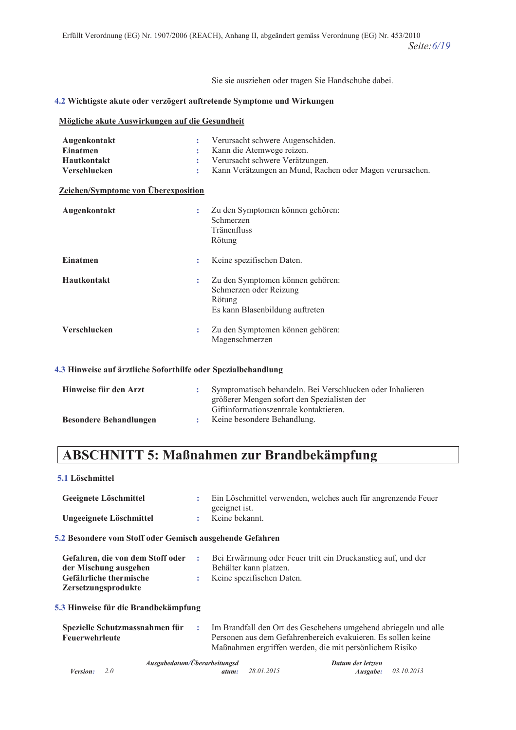Sie sie ausziehen oder tragen Sie Handschuhe dabei.

### **4.2 Wichtigste akute oder verzögert auftretende Symptome und Wirkungen**

### **Mögliche akute Auswirkungen auf die Gesundheit**

| Augenkontakt<br><b>Einatmen</b><br>Hautkontakt<br>Verschlucken<br><b>Zeichen/Symptome von Überexposition</b> | ÷<br>÷<br>÷ | Verursacht schwere Augenschäden.<br>Kann die Atemwege reizen.<br>Verursacht schwere Verätzungen.<br>Kann Verätzungen an Mund, Rachen oder Magen verursachen. |
|--------------------------------------------------------------------------------------------------------------|-------------|--------------------------------------------------------------------------------------------------------------------------------------------------------------|
| Augenkontakt                                                                                                 | ÷           | Zu den Symptomen können gehören:<br>Schmerzen<br>Tränenfluss<br>Rötung                                                                                       |
| <b>Einatmen</b>                                                                                              | ÷           | Keine spezifischen Daten.                                                                                                                                    |
| <b>Hautkontakt</b>                                                                                           | ÷           | Zu den Symptomen können gehören:<br>Schmerzen oder Reizung<br>Rötung<br>Es kann Blasenbildung auftreten                                                      |
| <b>Verschlucken</b>                                                                                          | ÷           | Zu den Symptomen können gehören:<br>Magenschmerzen                                                                                                           |

#### 4.3 Hinweise auf ärztliche Soforthilfe oder Spezialbehandlung

| Hinweise für den Arzt         | Symptomatisch behandeln. Bei Verschlucken oder Inhalieren                             |
|-------------------------------|---------------------------------------------------------------------------------------|
|                               | größerer Mengen sofort den Spezialisten der<br>Giftinformationszentrale kontaktieren. |
| <b>Besondere Behandlungen</b> | Keine besondere Behandlung.                                                           |

# **ABSCHNITT 5: Maßnahmen zur Brandbekämpfung**

#### **5.1 Löschmittel**

| Geeignete Löschmittel   | Ein Löschmittel verwenden, welches auch für angrenzende Feuer |
|-------------------------|---------------------------------------------------------------|
|                         | geeignet ist.                                                 |
| Ungeeignete Löschmittel | Keine bekannt.                                                |

#### **5.2 Besondere vom Stoff oder Gemisch ausgehende Gefahren**

| Gefahren, die von dem Stoff oder | Bei Erwärmung oder Feuer tritt ein Druckanstieg auf, und der |
|----------------------------------|--------------------------------------------------------------|
| der Mischung ausgehen            | Behälter kann platzen.                                       |
| <b>Gefährliche thermische</b>    | : Keine spezifischen Daten.                                  |
| Zersetzungsprodukte              |                                                              |

#### **5.3 Hinweise für die Brandbekämpfung**

| Spezielle Schutzmassnahmen für | Im Brandfall den Ort des Geschehens umgehend abriegeln und alle |
|--------------------------------|-----------------------------------------------------------------|
| Feuerwehrleute                 | Personen aus dem Gefahrenbereich evakuieren. Es sollen keine    |
|                                | Maßnahmen ergriffen werden, die mit persönlichem Risiko         |

|                       | Ausgabedatum/Überarbeitungsd |                  | Datum der letzten |                            |
|-----------------------|------------------------------|------------------|-------------------|----------------------------|
| <i>Version:</i> $2.0$ |                              | atum: 28.01.2015 |                   | <b>Ausgabe:</b> 03.10.2013 |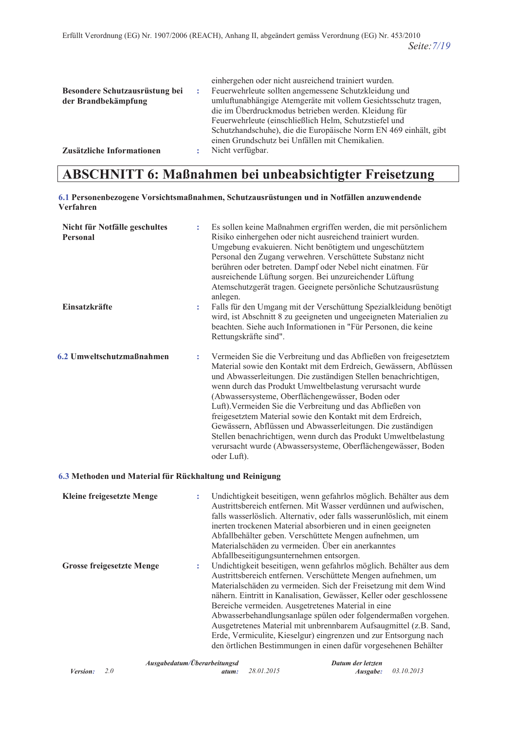|                                | einhergehen oder nicht ausreichend trainiert wurden.             |
|--------------------------------|------------------------------------------------------------------|
| Besondere Schutzausrüstung bei | Feuerwehrleute sollten angemessene Schutzkleidung und            |
| der Brandbekämpfung            | umluftunabhängige Atemgeräte mit vollem Gesichtsschutz tragen,   |
|                                | die im Überdruckmodus betrieben werden. Kleidung für             |
|                                | Feuerwehrleute (einschließlich Helm, Schutzstiefel und           |
|                                | Schutzhandschuhe), die die Europäische Norm EN 469 einhält, gibt |
|                                | einen Grundschutz bei Unfällen mit Chemikalien.                  |
| Zusätzliche Informationen      | Nicht verfügbar.                                                 |

# **ABSCHNITT 6: Maßnahmen bei unbeabsichtigter Freisetzung**

#### 6.1 Personenbezogene Vorsichtsmaßnahmen, Schutzausrüstungen und in Notfällen anzuwendende Verfahren

| Nicht für Notfälle geschultes<br><b>Personal</b> | ÷ | Es sollen keine Maßnahmen ergriffen werden, die mit persönlichem<br>Risiko einhergehen oder nicht ausreichend trainiert wurden.<br>Umgebung evakuieren. Nicht benötigtem und ungeschütztem<br>Personal den Zugang verwehren. Verschüttete Substanz nicht<br>berühren oder betreten. Dampf oder Nebel nicht einatmen. Für<br>ausreichende Lüftung sorgen. Bei unzureichender Lüftung<br>Atemschutzgerät tragen. Geeignete persönliche Schutzausrüstung<br>anlegen.                                                                                                                                                                                                       |
|--------------------------------------------------|---|-------------------------------------------------------------------------------------------------------------------------------------------------------------------------------------------------------------------------------------------------------------------------------------------------------------------------------------------------------------------------------------------------------------------------------------------------------------------------------------------------------------------------------------------------------------------------------------------------------------------------------------------------------------------------|
| Einsatzkräfte                                    | ÷ | Falls für den Umgang mit der Verschüttung Spezialkleidung benötigt<br>wird, ist Abschnitt 8 zu geeigneten und ungeeigneten Materialien zu<br>beachten. Siehe auch Informationen in "Für Personen, die keine<br>Rettungskräfte sind".                                                                                                                                                                                                                                                                                                                                                                                                                                    |
| 6.2 Umweltschutzmaßnahmen                        | ÷ | Vermeiden Sie die Verbreitung und das Abfließen von freigesetztem<br>Material sowie den Kontakt mit dem Erdreich, Gewässern, Abflüssen<br>und Abwasserleitungen. Die zuständigen Stellen benachrichtigen,<br>wenn durch das Produkt Umweltbelastung verursacht wurde<br>(Abwassersysteme, Oberflächengewässer, Boden oder<br>Luft). Vermeiden Sie die Verbreitung und das Abfließen von<br>freigesetztem Material sowie den Kontakt mit dem Erdreich,<br>Gewässern, Abflüssen und Abwasserleitungen. Die zuständigen<br>Stellen benachrichtigen, wenn durch das Produkt Umweltbelastung<br>verursacht wurde (Abwassersysteme, Oberflächengewässer, Boden<br>oder Luft). |

## 6.3 Methoden und Material für Rückhaltung und Reinigung

| <b>Kleine freigesetzte Menge</b> | ÷ | Undichtigkeit beseitigen, wenn gefahrlos möglich. Behälter aus dem<br>Austrittsbereich entfernen. Mit Wasser verdünnen und aufwischen,<br>falls wasserlöslich. Alternativ, oder falls wasserunlöslich, mit einem<br>inerten trockenen Material absorbieren und in einen geeigneten<br>Abfallbehälter geben. Verschüttete Mengen aufnehmen, um<br>Materialschäden zu vermeiden. Über ein anerkanntes<br>Abfallbeseitigungsunternehmen entsorgen.                                                                                                                                                                    |
|----------------------------------|---|--------------------------------------------------------------------------------------------------------------------------------------------------------------------------------------------------------------------------------------------------------------------------------------------------------------------------------------------------------------------------------------------------------------------------------------------------------------------------------------------------------------------------------------------------------------------------------------------------------------------|
| <b>Grosse freigesetzte Menge</b> | ÷ | Undichtigkeit beseitigen, wenn gefahrlos möglich. Behälter aus dem<br>Austrittsbereich entfernen. Verschüttete Mengen aufnehmen, um<br>Materialschäden zu vermeiden. Sich der Freisetzung mit dem Wind<br>nähern. Eintritt in Kanalisation, Gewässer, Keller oder geschlossene<br>Bereiche vermeiden. Ausgetretenes Material in eine<br>Abwasserbehandlungsanlage spülen oder folgendermaßen vorgehen.<br>Ausgetretenes Material mit unbrennbarem Aufsaugmittel (z.B. Sand,<br>Erde, Vermiculite, Kieselgur) eingrenzen und zur Entsorgung nach<br>den örtlichen Bestimmungen in einen dafür vorgesehenen Behälter |

|                       | Ausgabedatum/Überarbeitungsd |                         | Datum der letzten          |  |
|-----------------------|------------------------------|-------------------------|----------------------------|--|
| <i>Version:</i> $2.0$ |                              | <b>atum:</b> 28.01.2015 | <b>Ausgabe:</b> 03.10.2013 |  |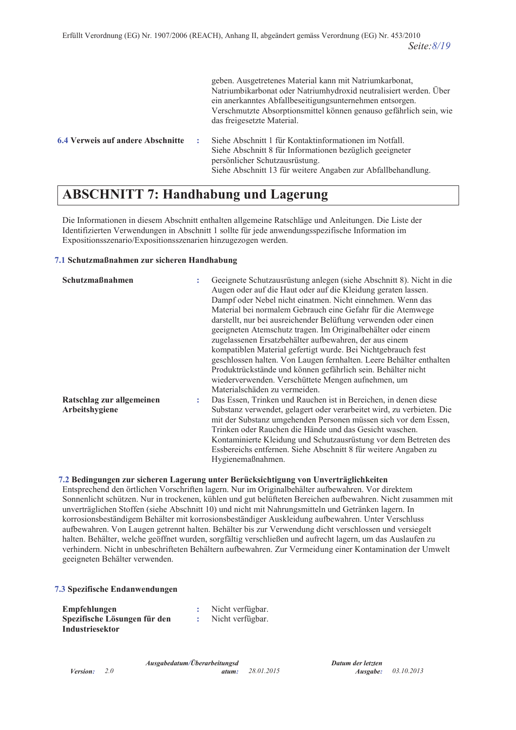|                                   | geben. Ausgetretenes Material kann mit Natriumkarbonat,<br>Natriumbikarbonat oder Natriumhydroxid neutralisiert werden. Über<br>ein anerkanntes Abfallbeseitigungsunternehmen entsorgen.<br>Verschmutzte Absorptionsmittel können genauso gefährlich sein, wie<br>das freigesetzte Material. |
|-----------------------------------|----------------------------------------------------------------------------------------------------------------------------------------------------------------------------------------------------------------------------------------------------------------------------------------------|
| 6.4 Verweis auf andere Abschnitte | Siehe Abschnitt 1 für Kontaktinformationen im Notfall.<br>Siehe Abschnitt 8 für Informationen bezüglich geeigneter<br>persönlicher Schutzausrüstung.<br>Siehe Abschnitt 13 für weitere Angaben zur Abfallbehandlung.                                                                         |

# **ABSCHNITT 7: Handhabung und Lagerung**

Die Informationen in diesem Abschnitt enthalten allgemeine Ratschläge und Anleitungen. Die Liste der Identifizierten Verwendungen in Abschnitt 1 sollte für jede anwendungsspezifische Information im Expositionsszenario/Expositionsszenarien hinzugezogen werden.

### **7.1 Schutzmaßnahmen zur sicheren Handhabung**

| Schutzmaßnahmen           |   | Geeignete Schutzausrüstung anlegen (siehe Abschnitt 8). Nicht in die  |
|---------------------------|---|-----------------------------------------------------------------------|
|                           |   | Augen oder auf die Haut oder auf die Kleidung geraten lassen.         |
|                           |   | Dampf oder Nebel nicht einatmen. Nicht einnehmen. Wenn das            |
|                           |   | Material bei normalem Gebrauch eine Gefahr für die Atemwege           |
|                           |   | darstellt, nur bei ausreichender Belüftung verwenden oder einen       |
|                           |   | geeigneten Atemschutz tragen. Im Originalbehälter oder einem          |
|                           |   | zugelassenen Ersatzbehälter aufbewahren, der aus einem                |
|                           |   | kompatiblen Material gefertigt wurde. Bei Nichtgebrauch fest          |
|                           |   | geschlossen halten. Von Laugen fernhalten. Leere Behälter enthalten   |
|                           |   | Produktrückstände und können gefährlich sein. Behälter nicht          |
|                           |   | wiederverwenden. Verschüttete Mengen aufnehmen, um                    |
|                           |   | Materialschäden zu vermeiden.                                         |
| Ratschlag zur allgemeinen | ÷ | Das Essen, Trinken und Rauchen ist in Bereichen, in denen diese       |
| Arbeitshygiene            |   | Substanz verwendet, gelagert oder verarbeitet wird, zu verbieten. Die |
|                           |   | mit der Substanz umgehenden Personen müssen sich vor dem Essen,       |
|                           |   | Trinken oder Rauchen die Hände und das Gesicht waschen.               |
|                           |   | Kontaminierte Kleidung und Schutzausrüstung vor dem Betreten des      |
|                           |   | Essbereichs entfernen. Siehe Abschnitt 8 für weitere Angaben zu       |
|                           |   | Hygienemaßnahmen.                                                     |

## **1.2 Bedingungen zur sicheren Lagerung unter Berücksichtigung von Unverträglichkeiten**

Entsprechend den örtlichen Vorschriften lagern. Nur im Originalbehälter aufbewahren. Vor direktem Sonnenlicht schützen. Nur in trockenen, kühlen und gut belüfteten Bereichen aufbewahren. Nicht zusammen mit unverträglichen Stoffen (siehe Abschnitt 10) und nicht mit Nahrungsmitteln und Getränken lagern. In korrosionsbeständigem Behälter mit korrosionsbeständiger Auskleidung aufbewahren. Unter Verschluss aufbewahren. Von Laugen getrennt halten. Behälter bis zur Verwendung dicht verschlossen und versiegelt halten. Behälter, welche geöffnet wurden, sorgfältig verschließen und aufrecht lagern, um das Auslaufen zu verhindern. Nicht in unbeschrifteten Behältern aufbewahren. Zur Vermeidung einer Kontamination der Umwelt geeigneten Behälter verwenden.

03.10.2013

#### **7.3 Spezifische Endanwendungen**

| Empfehlungen                 | Nicht verfügbar. |
|------------------------------|------------------|
| Spezifische Lösungen für den | Nicht verfügbar. |
| Industriesektor              |                  |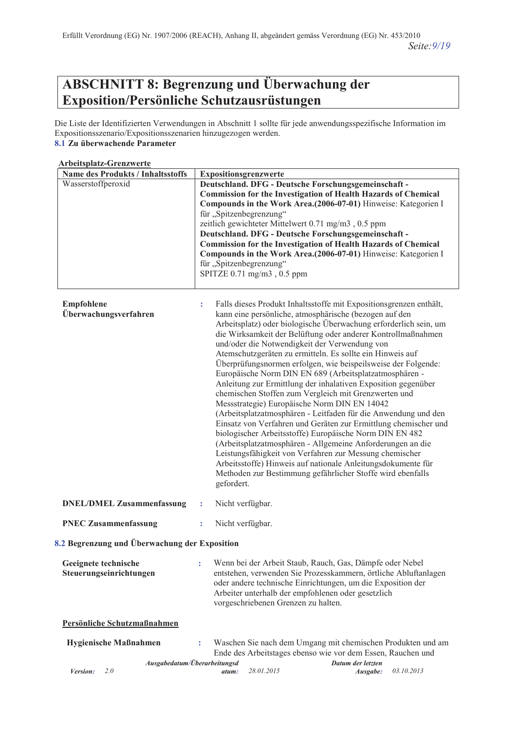# **ABSCHNITT 8: Begrenzung und Überwachung der**  $Exposition/Persönliche Schutzausrüstungen$

Die Liste der Identifizierten Verwendungen in Abschnitt 1 sollte für jede anwendungsspezifische Information im Expositionsszenario/Expositionsszenarien hinzugezogen werden. **8.1 Zu überwachende Parameter** 

## **Arbeitsplatz-Grenzwerte**

*Version:* 2.0

*Ausgabedatum/Überarbeitungsd* 

atum: 28.01.2015

*Datum der letzten Ausgabe:* 

Ende des Arbeitstages ebenso wie vor dem Essen, Rauchen und

03.10.2013

| <b>Name des Produkts / Inhaltsstoffs</b>        | Expositionsgrenzwerte                                                                                                                                                                                                                                                                                                                                                                                                                                                                                                                                              |                                                                                                                                                                                                                                                                                                                                                                                                                                                                                                                                                                                                                                                                                                                                                                                                                                                                                                                                                                                                                                                                                                                                                         |  |
|-------------------------------------------------|--------------------------------------------------------------------------------------------------------------------------------------------------------------------------------------------------------------------------------------------------------------------------------------------------------------------------------------------------------------------------------------------------------------------------------------------------------------------------------------------------------------------------------------------------------------------|---------------------------------------------------------------------------------------------------------------------------------------------------------------------------------------------------------------------------------------------------------------------------------------------------------------------------------------------------------------------------------------------------------------------------------------------------------------------------------------------------------------------------------------------------------------------------------------------------------------------------------------------------------------------------------------------------------------------------------------------------------------------------------------------------------------------------------------------------------------------------------------------------------------------------------------------------------------------------------------------------------------------------------------------------------------------------------------------------------------------------------------------------------|--|
| Wasserstoffperoxid                              | Deutschland. DFG - Deutsche Forschungsgemeinschaft -<br><b>Commission for the Investigation of Health Hazards of Chemical</b><br>Compounds in the Work Area.(2006-07-01) Hinweise: Kategorien I<br>für "Spitzenbegrenzung"<br>zeitlich gewichteter Mittelwert 0.71 mg/m3, 0.5 ppm<br>Deutschland. DFG - Deutsche Forschungsgemeinschaft -<br><b>Commission for the Investigation of Health Hazards of Chemical</b><br>Compounds in the Work Area.(2006-07-01) Hinweise: Kategorien I<br>für "Spitzenbegrenzung"<br>SPITZE $0.71 \text{ mg/m}$ 3, $0.5 \text{ ppm}$ |                                                                                                                                                                                                                                                                                                                                                                                                                                                                                                                                                                                                                                                                                                                                                                                                                                                                                                                                                                                                                                                                                                                                                         |  |
| Empfohlene<br>Überwachungsverfahren             | ÷                                                                                                                                                                                                                                                                                                                                                                                                                                                                                                                                                                  | Falls dieses Produkt Inhaltsstoffe mit Expositionsgrenzen enthält,<br>kann eine persönliche, atmosphärische (bezogen auf den<br>Arbeitsplatz) oder biologische Überwachung erforderlich sein, um<br>die Wirksamkeit der Belüftung oder anderer Kontrollmaßnahmen<br>und/oder die Notwendigkeit der Verwendung von<br>Atemschutzgeräten zu ermitteln. Es sollte ein Hinweis auf<br>Überprüfungsnormen erfolgen, wie beispeilsweise der Folgende:<br>Europäische Norm DIN EN 689 (Arbeitsplatzatmosphären -<br>Anleitung zur Ermittlung der inhalativen Exposition gegenüber<br>chemischen Stoffen zum Vergleich mit Grenzwerten und<br>Messstrategie) Europäische Norm DIN EN 14042<br>(Arbeitsplatzatmosphären - Leitfaden für die Anwendung und den<br>Einsatz von Verfahren und Geräten zur Ermittlung chemischer und<br>biologischer Arbeitsstoffe) Europäische Norm DIN EN 482<br>(Arbeitsplatzatmosphären - Allgemeine Anforderungen an die<br>Leistungsfähigkeit von Verfahren zur Messung chemischer<br>Arbeitsstoffe) Hinweis auf nationale Anleitungsdokumente für<br>Methoden zur Bestimmung gefährlicher Stoffe wird ebenfalls<br>gefordert. |  |
| <b>DNEL/DMEL Zusammenfassung</b>                | ÷                                                                                                                                                                                                                                                                                                                                                                                                                                                                                                                                                                  | Nicht verfügbar.                                                                                                                                                                                                                                                                                                                                                                                                                                                                                                                                                                                                                                                                                                                                                                                                                                                                                                                                                                                                                                                                                                                                        |  |
| <b>PNEC Zusammenfassung</b>                     | ÷                                                                                                                                                                                                                                                                                                                                                                                                                                                                                                                                                                  | Nicht verfügbar.                                                                                                                                                                                                                                                                                                                                                                                                                                                                                                                                                                                                                                                                                                                                                                                                                                                                                                                                                                                                                                                                                                                                        |  |
| 8.2 Begrenzung und Überwachung der Exposition   |                                                                                                                                                                                                                                                                                                                                                                                                                                                                                                                                                                    |                                                                                                                                                                                                                                                                                                                                                                                                                                                                                                                                                                                                                                                                                                                                                                                                                                                                                                                                                                                                                                                                                                                                                         |  |
| Geeignete technische<br>Steuerungseinrichtungen | t                                                                                                                                                                                                                                                                                                                                                                                                                                                                                                                                                                  | Wenn bei der Arbeit Staub, Rauch, Gas, Dämpfe oder Nebel<br>entstehen, verwenden Sie Prozesskammern, örtliche Abluftanlagen<br>oder andere technische Einrichtungen, um die Exposition der<br>Arbeiter unterhalb der empfohlenen oder gesetzlich<br>vorgeschriebenen Grenzen zu halten.                                                                                                                                                                                                                                                                                                                                                                                                                                                                                                                                                                                                                                                                                                                                                                                                                                                                 |  |
| Persönliche Schutzmaßnahmen                     |                                                                                                                                                                                                                                                                                                                                                                                                                                                                                                                                                                    |                                                                                                                                                                                                                                                                                                                                                                                                                                                                                                                                                                                                                                                                                                                                                                                                                                                                                                                                                                                                                                                                                                                                                         |  |
| Hygienische Maßnahmen                           |                                                                                                                                                                                                                                                                                                                                                                                                                                                                                                                                                                    | Waschen Sie nach dem Umgang mit chemischen Produkten und am                                                                                                                                                                                                                                                                                                                                                                                                                                                                                                                                                                                                                                                                                                                                                                                                                                                                                                                                                                                                                                                                                             |  |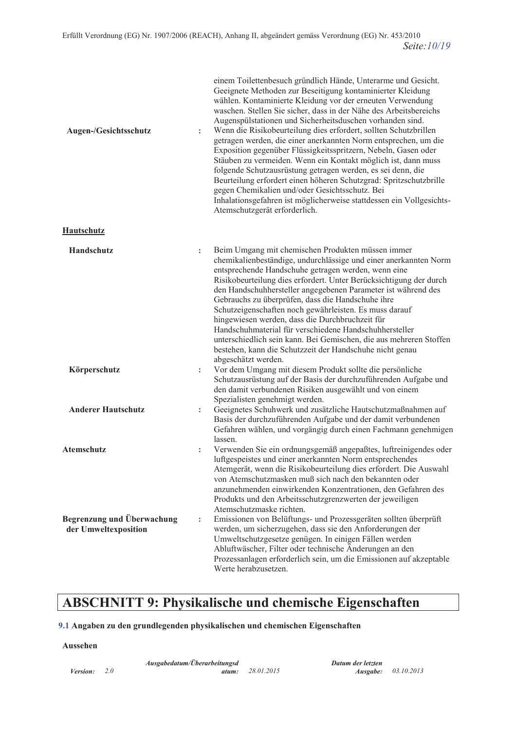| Augen-/Gesichtsschutz                              | t | einem Toilettenbesuch gründlich Hände, Unterarme und Gesicht.<br>Geeignete Methoden zur Beseitigung kontaminierter Kleidung<br>wählen. Kontaminierte Kleidung vor der erneuten Verwendung<br>waschen. Stellen Sie sicher, dass in der Nähe des Arbeitsbereichs<br>Augenspülstationen und Sicherheitsduschen vorhanden sind.<br>Wenn die Risikobeurteilung dies erfordert, sollten Schutzbrillen<br>getragen werden, die einer anerkannten Norm entsprechen, um die<br>Exposition gegenüber Flüssigkeitsspritzern, Nebeln, Gasen oder<br>Stäuben zu vermeiden. Wenn ein Kontakt möglich ist, dann muss<br>folgende Schutzausrüstung getragen werden, es sei denn, die<br>Beurteilung erfordert einen höheren Schutzgrad: Spritzschutzbrille<br>gegen Chemikalien und/oder Gesichtsschutz. Bei<br>Inhalationsgefahren ist möglicherweise stattdessen ein Vollgesichts-<br>Atemschutzgerät erforderlich. |
|----------------------------------------------------|---|-------------------------------------------------------------------------------------------------------------------------------------------------------------------------------------------------------------------------------------------------------------------------------------------------------------------------------------------------------------------------------------------------------------------------------------------------------------------------------------------------------------------------------------------------------------------------------------------------------------------------------------------------------------------------------------------------------------------------------------------------------------------------------------------------------------------------------------------------------------------------------------------------------|
| <b>Hautschutz</b>                                  |   |                                                                                                                                                                                                                                                                                                                                                                                                                                                                                                                                                                                                                                                                                                                                                                                                                                                                                                       |
| Handschutz                                         | t | Beim Umgang mit chemischen Produkten müssen immer<br>chemikalienbeständige, undurchlässige und einer anerkannten Norm<br>entsprechende Handschuhe getragen werden, wenn eine<br>Risikobeurteilung dies erfordert. Unter Berücksichtigung der durch<br>den Handschuhhersteller angegebenen Parameter ist während des<br>Gebrauchs zu überprüfen, dass die Handschuhe ihre<br>Schutzeigenschaften noch gewährleisten. Es muss darauf<br>hingewiesen werden, dass die Durchbruchzeit für<br>Handschuhmaterial für verschiedene Handschuhhersteller<br>unterschiedlich sein kann. Bei Gemischen, die aus mehreren Stoffen<br>bestehen, kann die Schutzzeit der Handschuhe nicht genau<br>abgeschätzt werden.                                                                                                                                                                                              |
| Körperschutz                                       | t | Vor dem Umgang mit diesem Produkt sollte die persönliche<br>Schutzausrüstung auf der Basis der durchzuführenden Aufgabe und<br>den damit verbundenen Risiken ausgewählt und von einem<br>Spezialisten genehmigt werden.                                                                                                                                                                                                                                                                                                                                                                                                                                                                                                                                                                                                                                                                               |
| <b>Anderer Hautschutz</b>                          | t | Geeignetes Schuhwerk und zusätzliche Hautschutzmaßnahmen auf<br>Basis der durchzuführenden Aufgabe und der damit verbundenen<br>Gefahren wählen, und vorgängig durch einen Fachmann genehmigen<br>lassen.                                                                                                                                                                                                                                                                                                                                                                                                                                                                                                                                                                                                                                                                                             |
| Atemschutz                                         | t | Verwenden Sie ein ordnungsgemäß angepaßtes, luftreinigendes oder<br>luftgespeistes und einer anerkannten Norm entsprechendes<br>Atemgerät, wenn die Risikobeurteilung dies erfordert. Die Auswahl<br>von Atemschutzmasken muß sich nach den bekannten oder<br>anzunehmenden einwirkenden Konzentrationen, den Gefahren des<br>Produkts und den Arbeitsschutzgrenzwerten der jeweiligen<br>Atemschutzmaske richten.                                                                                                                                                                                                                                                                                                                                                                                                                                                                                    |
| Begrenzung und Überwachung<br>der Umweltexposition | ÷ | Emissionen von Belüftungs- und Prozessgeräten sollten überprüft<br>werden, um sicherzugehen, dass sie den Anforderungen der<br>Umweltschutzgesetze genügen. In einigen Fällen werden<br>Abluftwäscher, Filter oder technische Änderungen an den<br>Prozessanlagen erforderlich sein, um die Emissionen auf akzeptable<br>Werte herabzusetzen.                                                                                                                                                                                                                                                                                                                                                                                                                                                                                                                                                         |

# **ABSCHNITT 9: Physikalische und chemische Eigenschaften**

## 9.1 Angaben zu den grundlegenden physikalischen und chemischen Eigenschaften

#### Aussehen

*Version:*  $2.0$ 

Ausgabedatum/Überarbeitungsd atum:

28.01.2015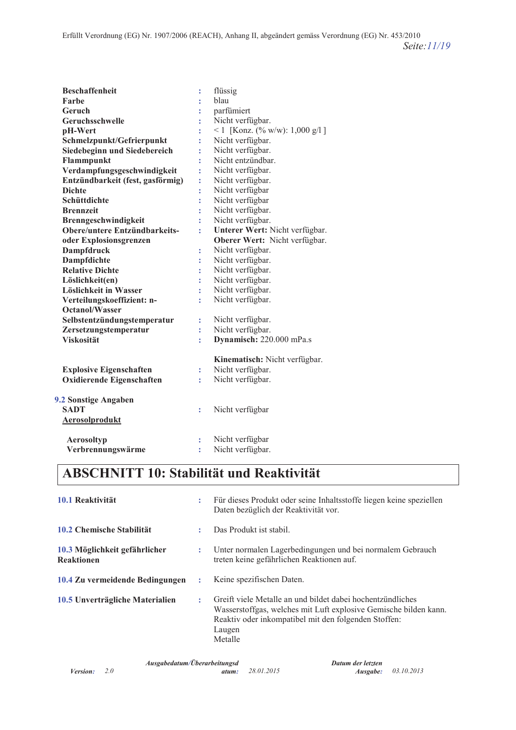| <b>Beschaffenheit</b>            |                      |                                 |
|----------------------------------|----------------------|---------------------------------|
| Farbe                            | t                    | flüssig<br>blau                 |
| Geruch                           | t                    | parfümiert                      |
| Geruchsschwelle                  | t                    |                                 |
|                                  | t                    | Nicht verfügbar.                |
| pH-Wert                          | t                    | <1 [Konz. (% w/w): $1,000$ g/l] |
| Schmelzpunkt/Gefrierpunkt        | t                    | Nicht verfügbar.                |
| Siedebeginn und Siedebereich     | t                    | Nicht verfügbar.                |
| Flammpunkt                       | t                    | Nicht entzündbar.               |
| Verdampfungsgeschwindigkeit      | t                    | Nicht verfügbar.                |
| Entzündbarkeit (fest, gasförmig) | t                    | Nicht verfügbar.                |
| <b>Dichte</b>                    | t,                   | Nicht verfügbar                 |
| Schüttdichte                     | t                    | Nicht verfügbar                 |
| <b>Brennzeit</b>                 | $\ddot{\phantom{a}}$ | Nicht verfügbar.                |
| Brenngeschwindigkeit             | t                    | Nicht verfügbar.                |
| Obere/untere Entzündbarkeits-    | t                    | Unterer Wert: Nicht verfügbar.  |
| oder Explosionsgrenzen           |                      | Oberer Wert: Nicht verfügbar.   |
| <b>Dampfdruck</b>                | t                    | Nicht verfügbar.                |
| Dampfdichte                      | t                    | Nicht verfügbar.                |
| <b>Relative Dichte</b>           | $\ddot{\phantom{a}}$ | Nicht verfügbar.                |
| Löslichkeit(en)                  | t                    | Nicht verfügbar.                |
| Löslichkeit in Wasser            | t                    | Nicht verfügbar.                |
| Verteilungskoeffizient: n-       | t                    | Nicht verfügbar.                |
| <b>Octanol/Wasser</b>            |                      |                                 |
| Selbstentzündungstemperatur      | t                    | Nicht verfügbar.                |
| Zersetzungstemperatur            | t                    | Nicht verfügbar.                |
| <b>Viskosität</b>                | t                    | Dynamisch: 220.000 mPa.s        |
|                                  |                      | Kinematisch: Nicht verfügbar.   |
| <b>Explosive Eigenschaften</b>   | t                    | Nicht verfügbar.                |
| Oxidierende Eigenschaften        | t                    | Nicht verfügbar.                |
| 9.2 Sonstige Angaben             |                      |                                 |
| <b>SADT</b>                      | t                    | Nicht verfügbar                 |
| <b>Aerosolprodukt</b>            |                      |                                 |
| Aerosoltyp                       | $\ddot{\phantom{a}}$ | Nicht verfügbar                 |
| Verbrennungswärme                | t                    | Nicht verfügbar.                |
|                                  |                      |                                 |

# **ABSCHNITT 10: Stabilität und Reaktivität**

| 10.1 Reaktivität                                   | ÷  | Für dieses Produkt oder seine Inhaltsstoffe liegen keine speziellen<br>Daten bezüglich der Reaktivität vor.                                                                                                 |
|----------------------------------------------------|----|-------------------------------------------------------------------------------------------------------------------------------------------------------------------------------------------------------------|
| 10.2 Chemische Stabilität                          |    | Das Produkt ist stabil.                                                                                                                                                                                     |
| 10.3 Möglichkeit gefährlicher<br><b>Reaktionen</b> | ÷  | Unter normalen Lagerbedingungen und bei normalem Gebrauch<br>treten keine gefährlichen Reaktionen auf.                                                                                                      |
| 10.4 Zu vermeidende Bedingungen                    | ÷  | Keine spezifischen Daten.                                                                                                                                                                                   |
| 10.5 Unverträgliche Materialien                    | ÷. | Greift viele Metalle an und bildet dabei hochentzündliches<br>Wasserstoffgas, welches mit Luft explosive Gemische bilden kann.<br>Reaktiv oder inkompatibel mit den folgenden Stoffen:<br>Laugen<br>Metalle |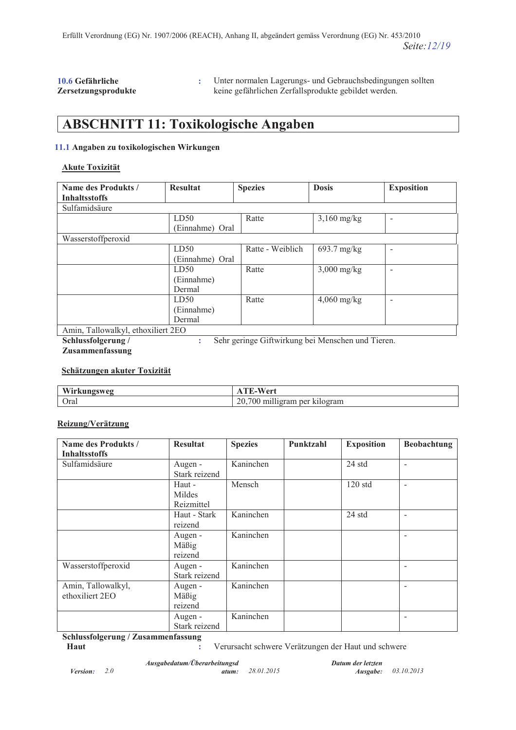#### 10.6 Gefährliche  $Zersetzungsprodukte$

: Unter normalen Lagerungs- und Gebrauchsbedingungen sollten keine gefährlichen Zerfallsprodukte gebildet werden.

# **ABSCHNITT 11: Toxikologische Angaben**

### **11.1 Angaben zu toxikologischen Wirkungen**

### **Akute Toxizität**

| Name des Produkts /                | <b>Resultat</b> | <b>Spezies</b>   | <b>Dosis</b>          | <b>Exposition</b>        |
|------------------------------------|-----------------|------------------|-----------------------|--------------------------|
| <b>Inhaltsstoffs</b>               |                 |                  |                       |                          |
| Sulfamidsäure                      |                 |                  |                       |                          |
|                                    | LD50            | Ratte            | $3,160$ mg/kg         | $\overline{\phantom{a}}$ |
|                                    | (Einnahme) Oral |                  |                       |                          |
| Wasserstoffperoxid                 |                 |                  |                       |                          |
|                                    | LD50            | Ratte - Weiblich | $693.7 \text{ mg/kg}$ | ۰                        |
|                                    | (Einnahme) Oral |                  |                       |                          |
|                                    | LD50            | Ratte            | $3,000$ mg/kg         |                          |
|                                    | (Einnahme)      |                  |                       |                          |
|                                    | Dermal          |                  |                       |                          |
|                                    | LD50            | Ratte            | $4,060$ mg/kg         |                          |
|                                    | (Einnahme)      |                  |                       |                          |
|                                    | Dermal          |                  |                       |                          |
| Amin, Tallowalkyl, ethoxiliert 2EO |                 |                  |                       |                          |

**Schlussfolgerung**/

: Sehr geringe Giftwirkung bei Menschen und Tieren.

## $Zusammenfassung$

## **<u>Schätzungen akuter Toxizität</u>**

| $\mathbf{X} \mathbf{X}$<br>$\cdots$ and $\mathbf{null}$ | '∗۵۰ /۸⊾                                          |
|---------------------------------------------------------|---------------------------------------------------|
| Orai                                                    | <br>20.7<br>.700<br>∵kılogram<br>milligram<br>per |

## **Reizung/Verätzung**

| <b>Name des Produkts /</b> | <b>Resultat</b> | <b>Spezies</b> | Punktzahl | <b>Exposition</b> | <b>Beobachtung</b> |
|----------------------------|-----------------|----------------|-----------|-------------------|--------------------|
| <b>Inhaltsstoffs</b>       |                 |                |           |                   |                    |
| Sulfamidsäure              | Augen -         | Kaninchen      |           | 24 std            | ۳                  |
|                            | Stark reizend   |                |           |                   |                    |
|                            | Haut -          | Mensch         |           | $120$ std         |                    |
|                            | Mildes          |                |           |                   |                    |
|                            | Reizmittel      |                |           |                   |                    |
|                            | Haut - Stark    | Kaninchen      |           | 24 std            |                    |
|                            | reizend         |                |           |                   |                    |
|                            | Augen -         | Kaninchen      |           |                   |                    |
|                            | Mäßig           |                |           |                   |                    |
|                            | reizend         |                |           |                   |                    |
| Wasserstoffperoxid         | Augen -         | Kaninchen      |           |                   |                    |
|                            | Stark reizend   |                |           |                   |                    |
| Amin, Tallowalkyl,         | Augen -         | Kaninchen      |           |                   |                    |
| ethoxiliert 2EO            | Mäßig           |                |           |                   |                    |
|                            | reizend         |                |           |                   |                    |
|                            | Augen -         | Kaninchen      |           |                   |                    |
|                            | Stark reizend   |                |           |                   |                    |

 $S$ chlussfolgerung / Zusammenfassung

**Haut 12.13.13.13.13.13.13.13.13.13.14.13.14.15.14.15.14.15.14.15.14.15.14.15.14.15.14.15.14.15.14.15.14.15.14.15.14.15.14.15.14.15.14.15.14.15.14.15.14.15.14.15.14.15.14.15.14.15.14.15.14.15.14.15.14.15.14.15.14.15.14.1** 

*Version:* 2.0 *Ausgabedatum/Überarbeitungsd* 

atum: 28.01.2015

*Datum der letzten Ausgabe:* 03.10.2013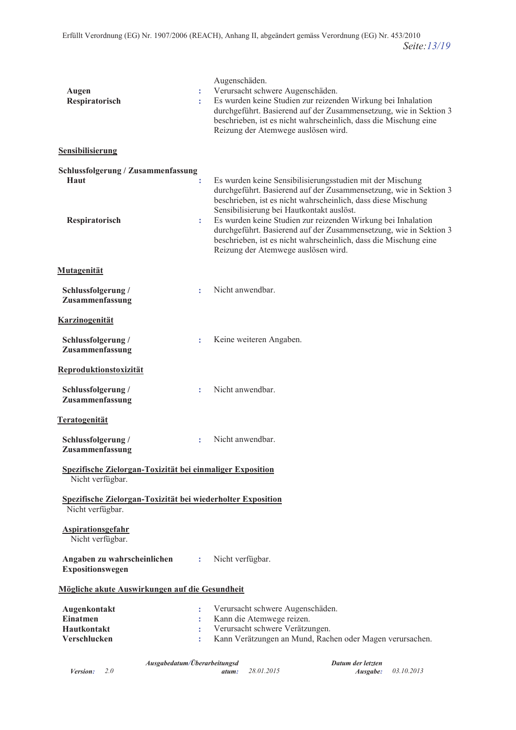| Augen<br>Respiratorisch                                                         |                                                | Augenschäden.<br>Verursacht schwere Augenschäden.<br>Es wurden keine Studien zur reizenden Wirkung bei Inhalation<br>durchgeführt. Basierend auf der Zusammensetzung, wie in Sektion 3<br>beschrieben, ist es nicht wahrscheinlich, dass die Mischung eine<br>Reizung der Atemwege auslösen wird.                                                                                                                                                                                            |  |  |  |  |
|---------------------------------------------------------------------------------|------------------------------------------------|----------------------------------------------------------------------------------------------------------------------------------------------------------------------------------------------------------------------------------------------------------------------------------------------------------------------------------------------------------------------------------------------------------------------------------------------------------------------------------------------|--|--|--|--|
| <b>Sensibilisierung</b>                                                         |                                                |                                                                                                                                                                                                                                                                                                                                                                                                                                                                                              |  |  |  |  |
| Schlussfolgerung / Zusammenfassung<br>Haut<br>Respiratorisch                    | ÷.                                             | Es wurden keine Sensibilisierungsstudien mit der Mischung<br>durchgeführt. Basierend auf der Zusammensetzung, wie in Sektion 3<br>beschrieben, ist es nicht wahrscheinlich, dass diese Mischung<br>Sensibilisierung bei Hautkontakt auslöst.<br>Es wurden keine Studien zur reizenden Wirkung bei Inhalation<br>durchgeführt. Basierend auf der Zusammensetzung, wie in Sektion 3<br>beschrieben, ist es nicht wahrscheinlich, dass die Mischung eine<br>Reizung der Atemwege auslösen wird. |  |  |  |  |
| Mutagenität                                                                     |                                                |                                                                                                                                                                                                                                                                                                                                                                                                                                                                                              |  |  |  |  |
| Schlussfolgerung /<br>Zusammenfassung                                           | ÷                                              | Nicht anwendbar.                                                                                                                                                                                                                                                                                                                                                                                                                                                                             |  |  |  |  |
| <b>Karzinogenität</b>                                                           |                                                |                                                                                                                                                                                                                                                                                                                                                                                                                                                                                              |  |  |  |  |
| Schlussfolgerung /<br>Zusammenfassung                                           | ÷                                              | Keine weiteren Angaben.                                                                                                                                                                                                                                                                                                                                                                                                                                                                      |  |  |  |  |
| <b>Reproduktionstoxizität</b>                                                   |                                                |                                                                                                                                                                                                                                                                                                                                                                                                                                                                                              |  |  |  |  |
| Schlussfolgerung /<br>Zusammenfassung                                           | ÷                                              | Nicht anwendbar.                                                                                                                                                                                                                                                                                                                                                                                                                                                                             |  |  |  |  |
| Teratogenität                                                                   |                                                |                                                                                                                                                                                                                                                                                                                                                                                                                                                                                              |  |  |  |  |
| Schlussfolgerung /<br>Zusammenfassung                                           | ÷                                              | Nicht anwendbar.                                                                                                                                                                                                                                                                                                                                                                                                                                                                             |  |  |  |  |
| Spezifische Zielorgan-Toxizität bei einmaliger Exposition<br>Nicht verfügbar.   |                                                |                                                                                                                                                                                                                                                                                                                                                                                                                                                                                              |  |  |  |  |
| Spezifische Zielorgan-Toxizität bei wiederholter Exposition<br>Nicht verfügbar. |                                                |                                                                                                                                                                                                                                                                                                                                                                                                                                                                                              |  |  |  |  |
| <b>Aspirationsgefahr</b><br>Nicht verfügbar.                                    |                                                |                                                                                                                                                                                                                                                                                                                                                                                                                                                                                              |  |  |  |  |
| Angaben zu wahrscheinlichen<br>Expositionswegen                                 | ÷                                              | Nicht verfügbar.                                                                                                                                                                                                                                                                                                                                                                                                                                                                             |  |  |  |  |
|                                                                                 | Mögliche akute Auswirkungen auf die Gesundheit |                                                                                                                                                                                                                                                                                                                                                                                                                                                                                              |  |  |  |  |
| Augenkontakt<br><b>Einatmen</b><br>Hautkontakt<br>Verschlucken                  | ÷<br>÷<br>÷<br>÷                               | Verursacht schwere Augenschäden.<br>Kann die Atemwege reizen.<br>Verursacht schwere Verätzungen.<br>Kann Verätzungen an Mund, Rachen oder Magen verursachen.                                                                                                                                                                                                                                                                                                                                 |  |  |  |  |

Datum der letzten Ausgabedatum/Überarbeitungsd *Version:*  $2.0$ 28.01.2015 03.10.2013 Ausgabe: atum: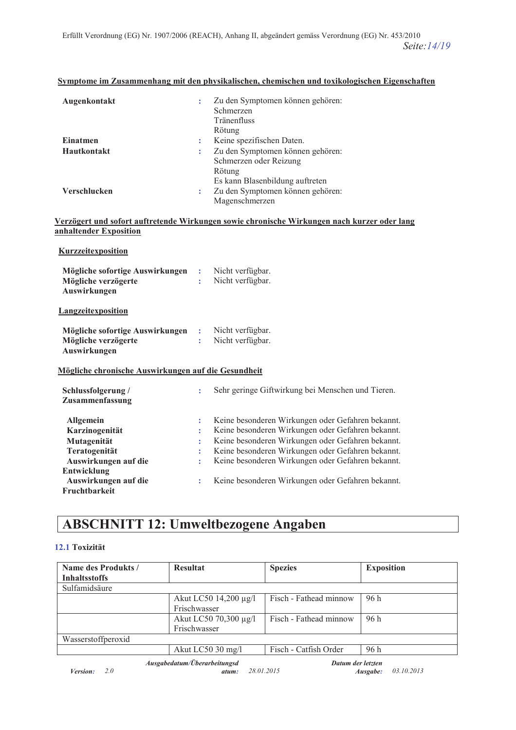| Augenkontakt<br>÷  | Zu den Symptomen können gehören:<br>Schmerzen<br>Tränenfluss<br>Rötung                                  |
|--------------------|---------------------------------------------------------------------------------------------------------|
| Einatmen<br>÷      | Keine spezifischen Daten.                                                                               |
| <b>Hautkontakt</b> | Zu den Symptomen können gehören:<br>Schmerzen oder Reizung<br>Rötung<br>Es kann Blasenbildung auftreten |
| Verschlucken<br>÷  | Zu den Symptomen können gehören:<br>Magenschmerzen                                                      |

### **<u>Symptome im Zusammenhang mit den physikalischen, chemischen und toxikologischen Eigenschaften</u>**

#### Verzögert und sofort auftretende Wirkungen sowie chronische Wirkungen nach kurzer oder lang **anhaltender Exposition**

#### **Kurzzeitexposition**

| Mögliche sofortige Auswirkungen<br>Mögliche verzögerte<br>Auswirkungen | ÷<br>÷ | Nicht verfügbar.<br>Nicht verfügbar.              |
|------------------------------------------------------------------------|--------|---------------------------------------------------|
| <b>Langzeitexposition</b>                                              |        |                                                   |
| Mögliche sofortige Auswirkungen<br>Mögliche verzögerte<br>Auswirkungen | ÷<br>÷ | Nicht verfügbar.<br>Nicht verfügbar.              |
| Mögliche chronische Auswirkungen auf die Gesundheit                    |        |                                                   |
| Schlussfolgerung /<br>Zusammenfassung                                  | ÷      | Sehr geringe Giftwirkung bei Menschen und Tieren. |
| Allgemein                                                              | ÷      | Keine besonderen Wirkungen oder Gefahren bekannt. |
| Karzinogenität                                                         | t      | Keine besonderen Wirkungen oder Gefahren bekannt. |
| Mutagenität                                                            |        | Keine besonderen Wirkungen oder Gefahren bekannt. |
| Teratogenität                                                          | t      | Keine besonderen Wirkungen oder Gefahren bekannt. |
| Auswirkungen auf die                                                   | ÷      | Keine besonderen Wirkungen oder Gefahren bekannt. |
| Entwicklung<br>Auswirkungen auf die<br>Fruchtbarkeit                   | t      | Keine besonderen Wirkungen oder Gefahren bekannt. |

## **ABSCHNITT 12: Umweltbezogene Angaben**

#### 12.1 Toxizität

| Name des Produkts /    | <b>Resultat</b>                       | <b>Spezies</b>                  | <b>Exposition</b>      |
|------------------------|---------------------------------------|---------------------------------|------------------------|
| <b>Inhaltsstoffs</b>   |                                       |                                 |                        |
| Sulfamidsäure          |                                       |                                 |                        |
|                        | Akut LC50 14,200 μg/l<br>Frischwasser | Fisch - Fathead minnow          | 96 h                   |
|                        | Akut LC50 70,300 μg/l<br>Frischwasser | Fisch - Fathead minnow          | 96 h                   |
| Wasserstoffperoxid     |                                       |                                 |                        |
|                        | Akut LC50 30 mg/l                     | Fisch - Catfish Order           | 96 h                   |
| 2.0<br><i>Version:</i> | Ausgabedatum/Überarbeitungsd<br>atum: | Datum der letzten<br>28.01.2015 | 03.10.2013<br>Ausgabe: |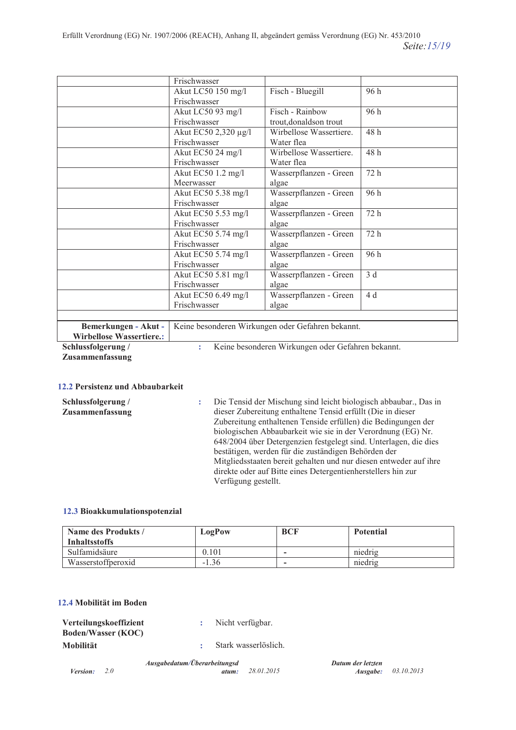|                                  | Frischwasser                                                                                                |                         |                 |
|----------------------------------|-------------------------------------------------------------------------------------------------------------|-------------------------|-----------------|
|                                  | Akut LC50 150 mg/l                                                                                          | Fisch - Bluegill        | 96 h            |
|                                  | Frischwasser                                                                                                |                         |                 |
|                                  | Akut LC50 93 mg/l                                                                                           | Fisch - Rainbow         | 96 h            |
|                                  | Frischwasser                                                                                                | trout, donaldson trout  |                 |
|                                  | Akut EC50 2,320 μg/l                                                                                        | Wirbellose Wassertiere. | 48 h            |
|                                  | Frischwasser                                                                                                | Water flea              |                 |
|                                  | Akut EC50 24 mg/l                                                                                           | Wirbellose Wassertiere. | 48 h            |
|                                  | Frischwasser                                                                                                | Water flea              |                 |
|                                  | Akut EC50 1.2 mg/l                                                                                          | Wasserpflanzen - Green  | 72 h            |
|                                  | Meerwasser                                                                                                  | algae                   |                 |
|                                  | Akut EC50 5.38 mg/l                                                                                         | Wasserpflanzen - Green  | 96 h            |
|                                  | Frischwasser                                                                                                | algae                   |                 |
|                                  | Akut EC50 5.53 mg/l                                                                                         | Wasserpflanzen - Green  | 72 h            |
|                                  | Frischwasser                                                                                                | algae                   |                 |
|                                  | Akut EC50 5.74 mg/l                                                                                         | Wasserpflanzen - Green  | 72 h            |
|                                  | Frischwasser                                                                                                | algae                   |                 |
|                                  | Akut EC50 5.74 mg/l                                                                                         | Wasserpflanzen - Green  | 96 h            |
|                                  | Frischwasser                                                                                                | algae                   |                 |
|                                  | Akut EC50 5.81 mg/l                                                                                         | Wasserpflanzen - Green  | $\overline{3d}$ |
|                                  | Frischwasser                                                                                                | algae                   |                 |
|                                  | Akut EC50 6.49 mg/l                                                                                         | Wasserpflanzen - Green  | 4 d             |
|                                  | Frischwasser                                                                                                | algae                   |                 |
|                                  |                                                                                                             |                         |                 |
| $\blacksquare$<br>$\mathbf{n}$ 1 | $\mathbf{W}$ , the characteristic $\mathbf{W}$ of the contraction of $\mathbf{C}$ . Colored the contract of |                         |                 |

Bemerkungen - Akut - | Keine besonderen Wirkungen oder Gefahren bekannt. Wirbellose Wassertiere.:

Schlussfolgerung /

Keine besonderen Wirkungen oder Gefahren bekannt. ÷.

Zusammenfassung

### 12.2 Persistenz und Abbaubarkeit

| Schlussfolgerung / | Die Tensid der Mischung sind leicht biologisch abbaubar., Das in  |
|--------------------|-------------------------------------------------------------------|
| Zusammenfassung    | dieser Zubereitung enthaltene Tensid erfüllt (Die in dieser       |
|                    | Zubereitung enthaltenen Tenside erfüllen) die Bedingungen der     |
|                    | biologischen Abbaubarkeit wie sie in der Verordnung (EG) Nr.      |
|                    | 648/2004 über Detergenzien festgelegt sind. Unterlagen, die dies  |
|                    | bestätigen, werden für die zuständigen Behörden der               |
|                    | Mitgliedsstaaten bereit gehalten und nur diesen entweder auf ihre |
|                    | direkte oder auf Bitte eines Detergentienherstellers hin zur      |
|                    | Verfügung gestellt.                                               |

#### 12.3 Bioakkumulationspotenzial

| Name des Produkts /<br><b>Inhaltsstoffs</b> | LogPow  | <b>BCF</b>               | <b>Potential</b> |
|---------------------------------------------|---------|--------------------------|------------------|
| Sulfamidsäure                               | 0.101   | -                        | niedrig          |
| Wasserstoffperoxid                          | $-1.36$ | $\overline{\phantom{0}}$ | niedrig          |

#### 12.4 Mobilität im Boden

| Verteilungskoeffizient    | Nicht verfügbar.     |
|---------------------------|----------------------|
| <b>Boden/Wasser (KOC)</b> |                      |
| Mobilität                 | Stark wasserlöslich. |

Ausgabedatum/Überarbeitungsd Datum der letzten *Version:*  $2.0$ 28.01.2015 03.10.2013 atum: Ausgabe: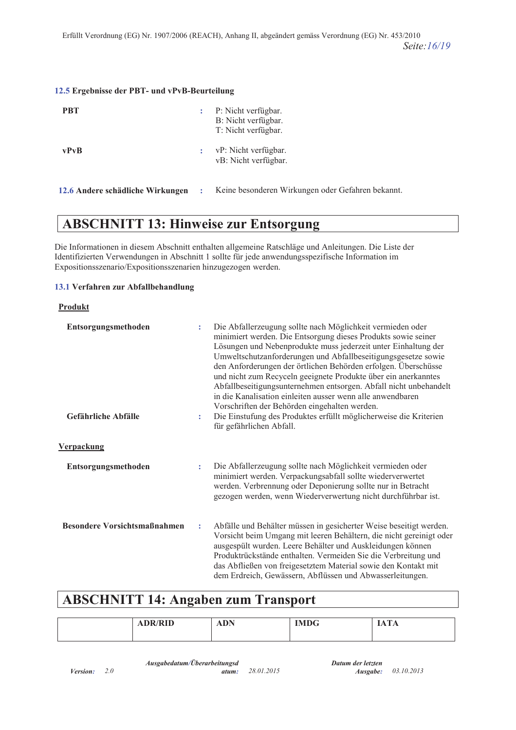#### **12.5 Ergebnisse der PBT- und vPvB-Beurteilung**

| <b>PBT</b>  | ÷ | P: Nicht verfügbar.<br>B: Nicht verfügbar.<br>T: Nicht verfügbar. |
|-------------|---|-------------------------------------------------------------------|
| <b>vPvB</b> |   | vP: Nicht verfügbar.<br>vB: Nicht verfügbar.                      |

#### 12.6 Andere schädliche Wirkungen :

2.6 Andere schädliche Wirkungen : Keine besonderen Wirkungen oder Gefahren bekannt.

# **ABSCHNITT 13: Hinweise zur Entsorgung**

Die Informationen in diesem Abschnitt enthalten allgemeine Ratschläge und Anleitungen. Die Liste der Identifizierten Verwendungen in Abschnitt 1 sollte für jede anwendungsspezifische Information im Expositionsszenario/Expositionsszenarien hinzugezogen werden.

#### 13.1 Verfahren zur Abfallbehandlung

#### $Product$

| Entsorgungsmethoden                 | ÷                    | Die Abfallerzeugung sollte nach Möglichkeit vermieden oder<br>minimiert werden. Die Entsorgung dieses Produkts sowie seiner<br>Lösungen und Nebenprodukte muss jederzeit unter Einhaltung der<br>Umweltschutzanforderungen und Abfallbeseitigungsgesetze sowie<br>den Anforderungen der örtlichen Behörden erfolgen. Überschüsse<br>und nicht zum Recyceln geeignete Produkte über ein anerkanntes<br>Abfallbeseitigungsunternehmen entsorgen. Abfall nicht unbehandelt<br>in die Kanalisation einleiten ausser wenn alle anwendbaren |
|-------------------------------------|----------------------|---------------------------------------------------------------------------------------------------------------------------------------------------------------------------------------------------------------------------------------------------------------------------------------------------------------------------------------------------------------------------------------------------------------------------------------------------------------------------------------------------------------------------------------|
| Gefährliche Abfälle                 | $\ddot{\phantom{a}}$ | Vorschriften der Behörden eingehalten werden.<br>Die Einstufung des Produktes erfüllt möglicherweise die Kriterien<br>für gefährlichen Abfall.                                                                                                                                                                                                                                                                                                                                                                                        |
| <b>Verpackung</b>                   |                      |                                                                                                                                                                                                                                                                                                                                                                                                                                                                                                                                       |
| Entsorgungsmethoden                 | ÷                    | Die Abfallerzeugung sollte nach Möglichkeit vermieden oder<br>minimiert werden. Verpackungsabfall sollte wiederverwertet<br>werden. Verbrennung oder Deponierung sollte nur in Betracht<br>gezogen werden, wenn Wiederverwertung nicht durchführbar ist.                                                                                                                                                                                                                                                                              |
| <b>Besondere Vorsichtsmaßnahmen</b> | ÷                    | Abfälle und Behälter müssen in gesicherter Weise beseitigt werden.<br>Vorsicht beim Umgang mit leeren Behältern, die nicht gereinigt oder<br>ausgespült wurden. Leere Behälter und Auskleidungen können<br>Produktrückstände enthalten. Vermeiden Sie die Verbreitung und<br>das Abfließen von freigesetztem Material sowie den Kontakt mit<br>dem Erdreich, Gewässern, Abflüssen und Abwasserleitungen.                                                                                                                              |

## **ABSCHNITT 14: Angaben zum Transport**

| $\alpha$ mess<br>'KID<br>$\mathbf{L}$ | <b>DN</b><br>1111 | $T^*$ $T^*$ $\Omega$<br>U<br>. | $\sim$<br>Δ<br><b>IIALIA</b><br>------ |  |
|---------------------------------------|-------------------|--------------------------------|----------------------------------------|--|
|---------------------------------------|-------------------|--------------------------------|----------------------------------------|--|

*Datum der letzten Ausgabe:* 03.10.2013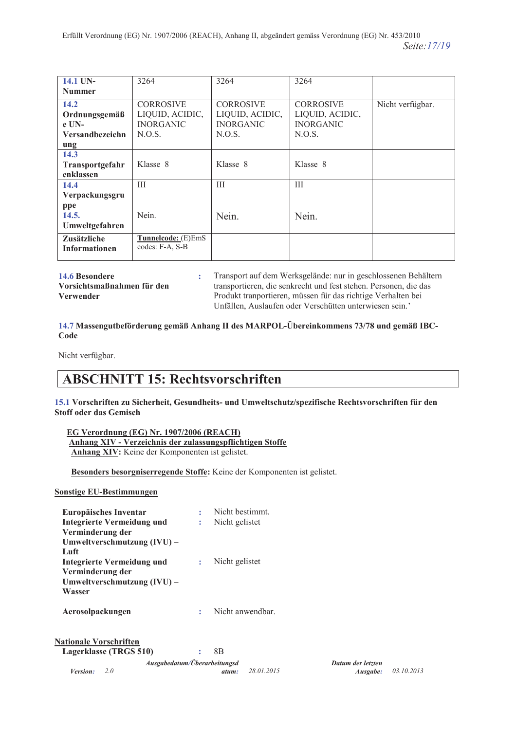| 14.1 UN-               | 3264               | 3264             | 3264             |                  |
|------------------------|--------------------|------------------|------------------|------------------|
| <b>Nummer</b>          |                    |                  |                  |                  |
| 14.2                   | <b>CORROSIVE</b>   | <b>CORROSIVE</b> | <b>CORROSIVE</b> | Nicht verfügbar. |
| Ordnungsgemäß          | LIQUID, ACIDIC,    | LIQUID, ACIDIC,  | LIQUID, ACIDIC,  |                  |
| $e$ UN-                | <b>INORGANIC</b>   | <b>INORGANIC</b> | <b>INORGANIC</b> |                  |
| <b>Versandbezeichn</b> | N.O.S.             | N.O.S.           | N.O.S.           |                  |
| ung                    |                    |                  |                  |                  |
| 14.3                   |                    |                  |                  |                  |
| <b>Transportgefahr</b> | Klasse 8           | Klasse 8         | Klasse 8         |                  |
| enklassen              |                    |                  |                  |                  |
| 14.4                   | III                | III              | III              |                  |
| Verpackungsgru         |                    |                  |                  |                  |
| ppe                    |                    |                  |                  |                  |
| 14.5.                  | Nein.              | Nein.            | Nein.            |                  |
| Umweltgefahren         |                    |                  |                  |                  |
| <b>Zusätzliche</b>     | Tunnelcode: (E)EmS |                  |                  |                  |
| <b>Informationen</b>   | codes: F-A, S-B    |                  |                  |                  |
|                        |                    |                  |                  |                  |

14.6 Besondere

Vorsichtsmaßnahmen für den Verwender

Transport auf dem Werksgelände: nur in geschlossenen Behältern transportieren, die senkrecht und fest stehen. Personen, die das Produkt tranportieren, müssen für das richtige Verhalten bei Unfällen, Auslaufen oder Verschütten unterwiesen sein.'

### 14.7 Massengutbeförderung gemäß Anhang II des MARPOL-Übereinkommens 73/78 und gemäß IBC-Code

Nicht verfügbar.

# **ABSCHNITT 15: Rechtsvorschriften**

15.1 Vorschriften zu Sicherheit, Gesundheits- und Umweltschutz/spezifische Rechtsvorschriften für den **Stoff oder das Gemisch** 

EG Verordnung (EG) Nr. 1907/2006 (REACH) Anhang XIV - Verzeichnis der zulassungspflichtigen Stoffe Anhang XIV: Keine der Komponenten ist gelistet.

Besonders besorgniserregende Stoffe: Keine der Komponenten ist gelistet.

÷

## **Sonstige EU-Bestimmungen**

| Europäisches Inventar             |              | Nicht bestimmt.  |
|-----------------------------------|--------------|------------------|
| <b>Integrierte Vermeidung und</b> | ÷            | Nicht gelistet   |
| Verminderung der                  |              |                  |
| Umweltverschmutzung (IVU) –       |              |                  |
| Luft                              |              |                  |
| Integrierte Vermeidung und        | $\mathbf{L}$ | Nicht gelistet   |
| Verminderung der                  |              |                  |
| Umweltverschmutzung (IVU) –       |              |                  |
| Wasser                            |              |                  |
| Aerosolpackungen                  | t            | Nicht anwendbar. |
| <b>Nationale Vorschriften</b>     |              |                  |
| Lagerklasse (TRGS 510)            |              | 8B               |
| Ausoahedatum/Üherarheitunosd      |              |                  |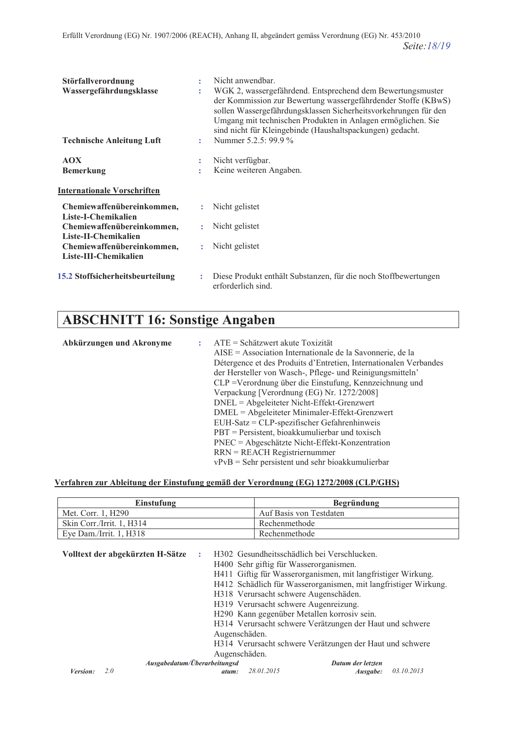| Störfallverordnung<br>Wassergefährdungsklasse<br><b>Technische Anleitung Luft</b> | ÷.<br>÷. | Nicht anwendbar.<br>WGK 2, wassergefährdend. Entsprechend dem Bewertungsmuster<br>der Kommission zur Bewertung wassergefährdender Stoffe (KBwS)<br>sollen Wassergefährdungsklassen Sicherheitsvorkehrungen für den<br>Umgang mit technischen Produkten in Anlagen ermöglichen. Sie<br>sind nicht für Kleingebinde (Haushaltspackungen) gedacht.<br>Nummer 5.2.5: 99.9 % |
|-----------------------------------------------------------------------------------|----------|-------------------------------------------------------------------------------------------------------------------------------------------------------------------------------------------------------------------------------------------------------------------------------------------------------------------------------------------------------------------------|
| <b>AOX</b><br><b>Bemerkung</b>                                                    | ÷<br>٠   | Nicht verfügbar.<br>Keine weiteren Angaben.                                                                                                                                                                                                                                                                                                                             |
| <b>Internationale Vorschriften</b>                                                |          |                                                                                                                                                                                                                                                                                                                                                                         |
| Chemiewaffenübereinkommen,<br>Liste-I-Chemikalien                                 |          | Nicht gelistet                                                                                                                                                                                                                                                                                                                                                          |
| Chemiewaffenübereinkommen,<br>Liste-II-Chemikalien                                |          | Nicht gelistet                                                                                                                                                                                                                                                                                                                                                          |
| Chemiewaffenübereinkommen,<br>Liste-III-Chemikalien                               |          | : Nicht gelistet                                                                                                                                                                                                                                                                                                                                                        |
| 15.2 Stoffsicherheitsbeurteilung                                                  | ÷        | Diese Produkt enthält Substanzen, für die noch Stoffbewertungen<br>erforderlich sind.                                                                                                                                                                                                                                                                                   |

# **ABSCHNITT 16: Sonstige Angaben**

| Abkürzungen und Akronyme | $ATE = Schätzwert$ akute Toxizität                                |
|--------------------------|-------------------------------------------------------------------|
|                          | AISE = Association Internationale de la Savonnerie, de la         |
|                          | Détergence et des Produits d'Entretien, Internationalen Verbandes |
|                          | der Hersteller von Wasch-, Pflege- und Reinigungsmitteln'         |
|                          | CLP = Verordnung über die Einstufung, Kennzeichnung und           |
|                          | Verpackung [Verordnung (EG) Nr. 1272/2008]                        |
|                          | $DNEL = Algebra$ Nicht-Effekt-Grenzwert                           |
|                          | DMEL = Abgeleiteter Minimaler-Effekt-Grenzwert                    |
|                          | $EUH-Satz = CLP-specificischer Gefahrenhinweis$                   |
|                          | $PBT =$ Persistent, bioakkumulierbar und toxisch                  |
|                          | PNEC = Abgeschätzte Nicht-Effekt-Konzentration                    |
|                          | $RRN = REACH Registeriernummer$                                   |
|                          | $vPvB =$ Sehr persistent und sehr bioakkumulierbar                |
|                          |                                                                   |

## <u>**Verfahren zur Ableitung der Einstufung gemäß der Verordnung (EG) 1272/2008 (CLP/GHS)**</u>

| Einstufung                | <b>Begründung</b>       |
|---------------------------|-------------------------|
| Met. Corr. 1, H290        | Auf Basis von Testdaten |
| Skin Corr./Irrit. 1, H314 | Rechenmethode           |
| Eye Dam./Irrit. $1, H318$ | Rechenmethode           |

| Volltext der abgekürzten H-Sätze | ÷     | H302 Gesundheitsschädlich bei Verschlucken.                     |                        |
|----------------------------------|-------|-----------------------------------------------------------------|------------------------|
|                                  |       | H400 Sehr giftig für Wasserorganismen.                          |                        |
|                                  |       | H411 Giftig für Wasserorganismen, mit langfristiger Wirkung.    |                        |
|                                  |       | H412 Schädlich für Wasserorganismen, mit langfristiger Wirkung. |                        |
|                                  |       | H318 Verursacht schwere Augenschäden.                           |                        |
|                                  |       | H319 Verursacht schwere Augenreizung.                           |                        |
|                                  |       | H290 Kann gegenüber Metallen korrosiv sein.                     |                        |
|                                  |       | H314 Verursacht schwere Verätzungen der Haut und schwere        |                        |
|                                  |       | Augenschäden.                                                   |                        |
|                                  |       | H314 Verursacht schwere Verätzungen der Haut und schwere        |                        |
|                                  |       | Augenschäden.                                                   |                        |
| Ausgabedatum/Überarbeitungsd     |       | Datum der letzten                                               |                        |
| Version:<br>2.0                  | atum: | 28.01.2015                                                      | 03.10.2013<br>Ausgabe: |